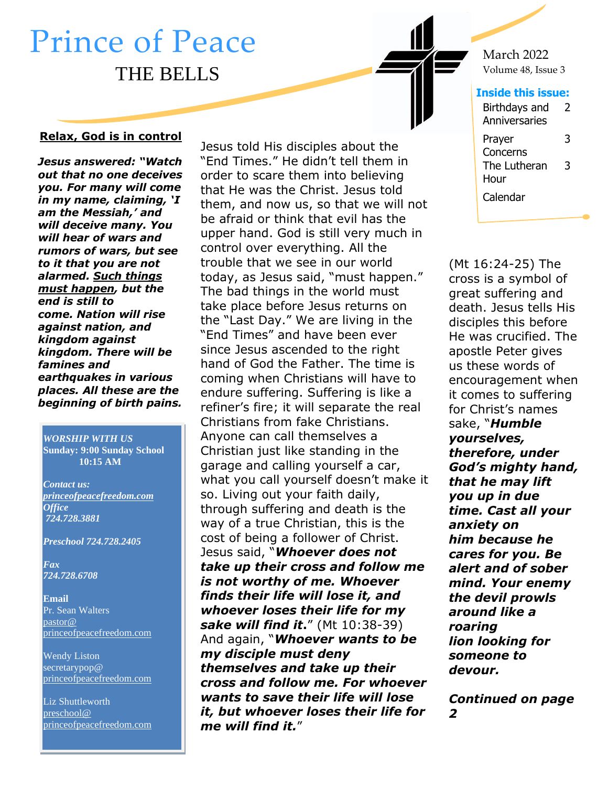# Prince of Peace THE BELLS

#### **Relax, God is in control**

1. *in my name, claiming, 'I Jesus answered: "Watch out that no one deceives you. For many will come am the Messiah,' and will deceive many. You will hear of wars and rumors of wars, but see to it that you are not alarmed. Such things must happen, but the end is still to come. Nation will rise against nation, and kingdom against kingdom. There will be famines and earthquakes in various places. All these are the beginning of birth pains.*

*WORSHIP WITH US* **Sunday: 9:00 Sunday School 10:15 AM**

*Contact us: [princeofpeacefreedom.com](http://www.princeofpeacefreedom.com/) Office 724.728.3881*

*Preschool 724.728.2405*

*Fax 724.728.6708*

**Email** Pr. Sean Walters [pastor@](mailto:secretarypop@princeofpeacefreedom.com)  [princeofpeacefreedom.com](mailto:secretarypop@princeofpeacefreedom.com)

Wendy Liston secretarypop@ princeofpeacefreedom.com

Liz Shuttleworth [preschool@](mailto:preschool@princeofpeacefreedom.com)  [princeofpeacefreedom.com](mailto:preschool@princeofpeacefreedom.com) Jesus told His disciples about the "End Times." He didn't tell them in order to scare them into believing that He was the Christ. Jesus told them, and now us, so that we will not be afraid or think that evil has the upper hand. God is still very much in control over everything. All the trouble that we see in our world today, as Jesus said, "must happen." The bad things in the world must take place before Jesus returns on the "Last Day." We are living in the "End Times" and have been ever since Jesus ascended to the right hand of God the Father. The time is coming when Christians will have to endure suffering. Suffering is like a refiner's fire; it will separate the real Christians from fake Christians. Anyone can call themselves a Christian just like standing in the garage and calling yourself a car, what you call yourself doesn't make it so. Living out your faith daily, through suffering and death is the way of a true Christian, this is the cost of being a follower of Christ. Jesus said, "*Whoever does not take up their cross and follow me is not worthy of me. Whoever finds their life will lose it, and whoever loses their life for my sake will find it***.**" (Mt 10:38-39) And again, "*Whoever wants to be my disciple must deny themselves and take up their cross and follow me. For whoever wants to save their life will lose it, but whoever loses their life for me will find it.*"

March 2022 Volume 48, Issue 3

#### **Inside this issue:**

| Birthdays and<br>Anniversaries | 7 |
|--------------------------------|---|
| Prayer<br>Concerns             | 3 |
| The Lutheran                   | 3 |
| Hour                           |   |
| Calendar                       |   |

(Mt 16:24-25) The cross is a symbol of great suffering and death. Jesus tells His disciples this before He was crucified. The apostle Peter gives us these words of encouragement when it comes to suffering for Christ's names sake, "*Humble yourselves, therefore, under God's mighty hand, that he may lift you up in due time. Cast all your anxiety on him because he cares for you. Be alert and of sober mind. Your enemy the devil prowls around like a roaring lion looking for someone to devour.*

*Continued on page 2*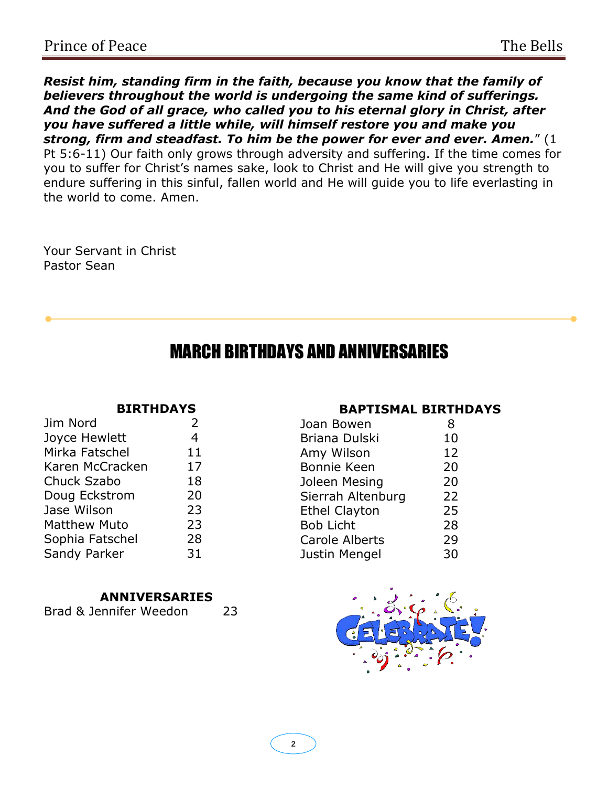*Resist him, standing firm in the faith, because you know that the family of believers throughout the world is undergoing the same kind of sufferings. And the God of all grace, who called you to his eternal glory in Christ, after you have suffered a little while, will himself restore you and make you strong, firm and steadfast. To him be the power for ever and ever. Amen.*" (1 Pt 5:6-11) Our faith only grows through adversity and suffering. If the time comes for you to suffer for Christ's names sake, look to Christ and He will give you strength to endure suffering in this sinful, fallen world and He will guide you to life everlasting in the world to come. Amen.

Your Servant in Christ Pastor Sean

### MARCH BIRTHDAYS AND ANNIVERSARIES

#### **BIRTHDAYS**

| Jim Nord            | $\overline{2}$ |
|---------------------|----------------|
| Joyce Hewlett       | 4              |
| Mirka Fatschel      | 11             |
| Karen McCracken     | 17             |
| Chuck Szabo         | 18             |
| Doug Eckstrom       | 20             |
| Jase Wilson         | 23             |
| <b>Matthew Muto</b> | 23             |
| Sophia Fatschel     | 28             |
| Sandy Parker        | 31             |
|                     |                |

#### **ANNIVERSARIES**

| Brad & Jennifer Weedon | 23 |
|------------------------|----|
|                        |    |

#### **BAPTISMAL BIRTHDAYS**

| Joan Bowen            | 8  |
|-----------------------|----|
| <b>Briana Dulski</b>  | 10 |
| Amy Wilson            | 12 |
| Bonnie Keen           | 20 |
| Joleen Mesing         | 20 |
| Sierrah Altenburg     | 22 |
| <b>Ethel Clayton</b>  | 25 |
| <b>Bob Licht</b>      | 28 |
| <b>Carole Alberts</b> | 29 |
| Justin Mengel         | 30 |
|                       |    |

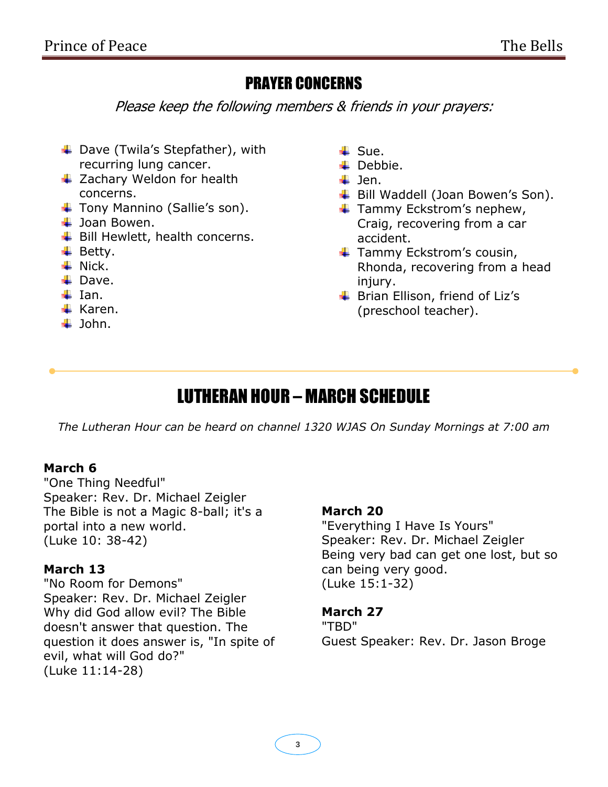### PRAYER CONCERNS

Please keep the following members & friends in your prayers:

- + Dave (Twila's Stepfather), with recurring lung cancer.
- $\ddot{\bullet}$  Zachary Weldon for health concerns.
- **↓** Tony Mannino (Sallie's son).
- $\downarrow$  Joan Bowen.
- $\ddot{\bullet}$  Bill Hewlett, health concerns.
- $\overline{\phantom{a}}$  Betty.
- $\ddot$  Nick.
- $\blacksquare$  Dave.
- $\ddot{ }$  Ian.
- $\overline{\phantom{a}}$  Karen.
- $\ddagger$  John.
- $\ddagger$  Sue.
- $\downarrow$  Debbie.
- $\ddagger$  Jen.
- **↓** Bill Waddell (Joan Bowen's Son).
- $\ddot{\bullet}$  Tammy Eckstrom's nephew, Craig, recovering from a car accident.
- $\ddot{\bullet}$  Tammy Eckstrom's cousin, Rhonda, recovering from a head injury.
- **↓** Brian Ellison, friend of Liz's (preschool teacher).

## LUTHERAN HOUR – MARCH SCHEDULE

*The Lutheran Hour can be heard on channel 1320 WJAS On Sunday Mornings at 7:00 am*

#### **March 6**

"One Thing Needful" Speaker: Rev. Dr. Michael Zeigler The Bible is not a Magic 8-ball; it's a portal into a new world. (Luke 10: 38-42)

#### **March 13**

"No Room for Demons" Speaker: Rev. Dr. Michael Zeigler Why did God allow evil? The Bible doesn't answer that question. The question it does answer is, "In spite of evil, what will God do?" (Luke 11:14-28)

#### **March 20**

"Everything I Have Is Yours" Speaker: Rev. Dr. Michael Zeigler Being very bad can get one lost, but so can being very good. (Luke 15:1-32)

#### **March 27**

"TBD" Guest Speaker: Rev. Dr. Jason Broge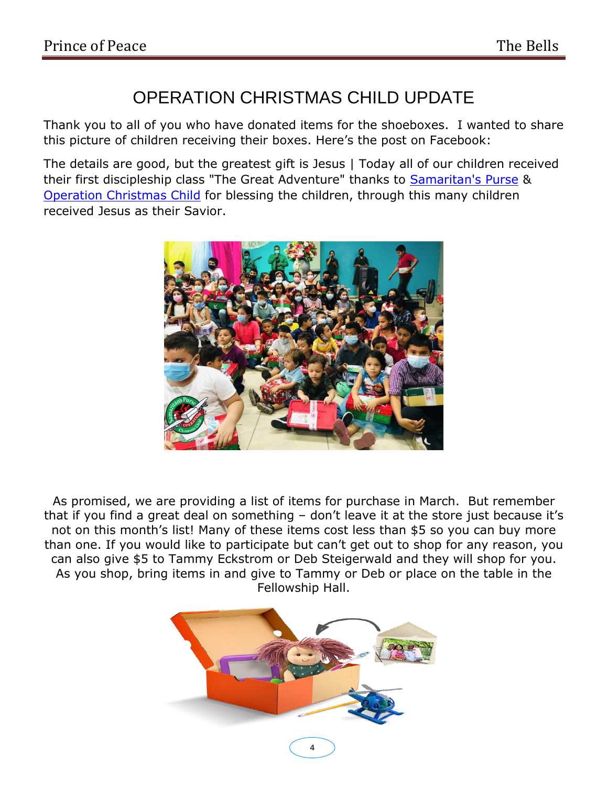### OPERATION CHRISTMAS CHILD UPDATE

Thank you to all of you who have donated items for the shoeboxes. I wanted to share this picture of children receiving their boxes. Here's the post on Facebook:

The details are good, but the greatest gift is Jesus | Today all of our children received their first discipleship class "The Great Adventure" thanks to **Samaritan's Purse &** [Operation Christmas Child](https://www.facebook.com/OCCshoeboxes/?__cft__%5b0%5d=AZWGcPySVePe_WaX5kX5ZJsjyFJsG_zzRNJmciH77pyahU3H12w-CEIhxrkU3VCQpN_uHgN0BPlzsMvj1BS0cRWf46tT2UflI1gXlLrpOg0K5ZeAwQdv9TCql4C_dQCKiixB9dFGqPGZw8U7N64OgJAU0IObflka02KEr2FRAan3hC7HW7QTrgK8wTzd_alRBFbWU_0m_aAcSWPDAV5RIOYC&__tn__=kK-y-R) for blessing the children, through this many children received Jesus as their Savior.



As promised, we are providing a list of items for purchase in March. But remember that if you find a great deal on something – don't leave it at the store just because it's not on this month's list! Many of these items cost less than \$5 so you can buy more than one. If you would like to participate but can't get out to shop for any reason, you can also give \$5 to Tammy Eckstrom or Deb Steigerwald and they will shop for you. As you shop, bring items in and give to Tammy or Deb or place on the table in the Fellowship Hall.

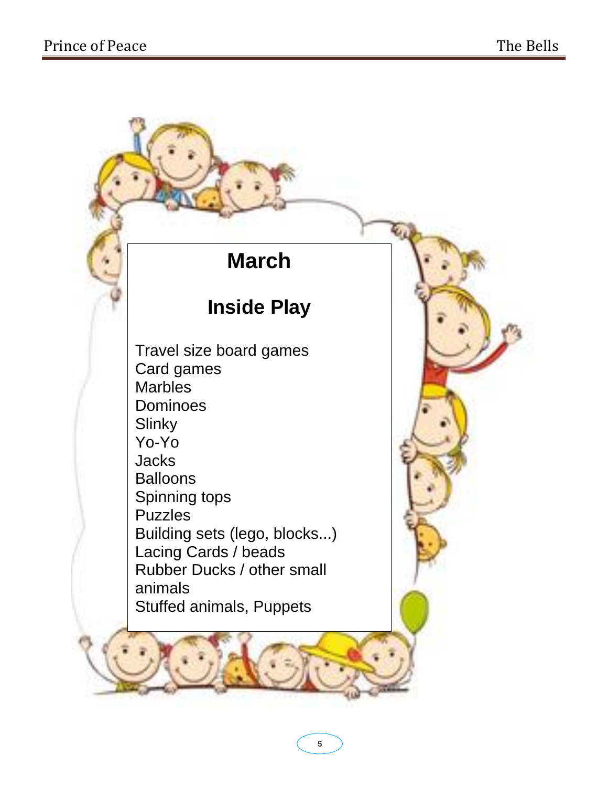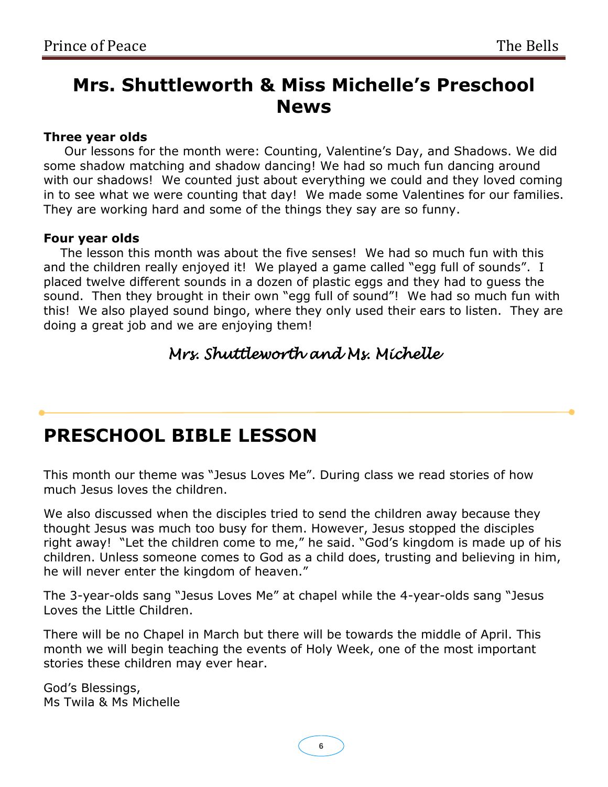### **Mrs. Shuttleworth & Miss Michelle's Preschool News**

#### **Three year olds**

 Our lessons for the month were: Counting, Valentine's Day, and Shadows. We did some shadow matching and shadow dancing! We had so much fun dancing around with our shadows! We counted just about everything we could and they loved coming in to see what we were counting that day! We made some Valentines for our families. They are working hard and some of the things they say are so funny.

#### **Four year olds**

 The lesson this month was about the five senses! We had so much fun with this and the children really enjoyed it! We played a game called "egg full of sounds". I placed twelve different sounds in a dozen of plastic eggs and they had to guess the sound. Then they brought in their own "egg full of sound"! We had so much fun with this! We also played sound bingo, where they only used their ears to listen. They are doing a great job and we are enjoying them!

### *Mrs. Shuttleworth and Ms. Michelle*

### **PRESCHOOL BIBLE LESSON**

This month our theme was "Jesus Loves Me". During class we read stories of how much Jesus loves the children.

We also discussed when the disciples tried to send the children away because they thought Jesus was much too busy for them. However, Jesus stopped the disciples right away! "Let the children come to me," he said. "God's kingdom is made up of his children. Unless someone comes to God as a child does, trusting and believing in him, he will never enter the kingdom of heaven."

The 3-year-olds sang "Jesus Loves Me" at chapel while the 4-year-olds sang "Jesus Loves the Little Children.

There will be no Chapel in March but there will be towards the middle of April. This month we will begin teaching the events of Holy Week, one of the most important stories these children may ever hear.

God's Blessings, Ms Twila & Ms Michelle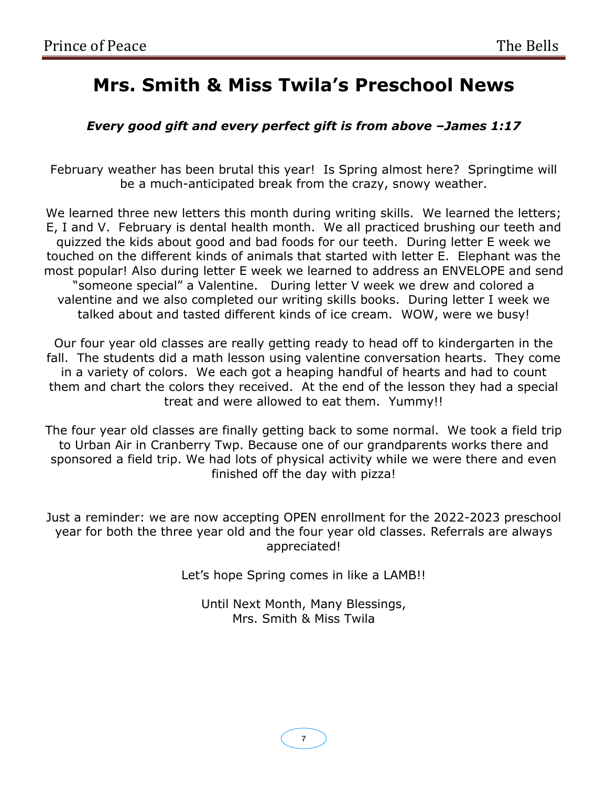## **Mrs. Smith & Miss Twila's Preschool News**

#### *Every good gift and every perfect gift is from above –James 1:17*

February weather has been brutal this year! Is Spring almost here? Springtime will be a much-anticipated break from the crazy, snowy weather.

We learned three new letters this month during writing skills. We learned the letters; E, I and V. February is dental health month. We all practiced brushing our teeth and quizzed the kids about good and bad foods for our teeth. During letter E week we touched on the different kinds of animals that started with letter E. Elephant was the most popular! Also during letter E week we learned to address an ENVELOPE and send "someone special" a Valentine. During letter V week we drew and colored a valentine and we also completed our writing skills books. During letter I week we talked about and tasted different kinds of ice cream. WOW, were we busy!

Our four year old classes are really getting ready to head off to kindergarten in the fall. The students did a math lesson using valentine conversation hearts. They come in a variety of colors. We each got a heaping handful of hearts and had to count them and chart the colors they received. At the end of the lesson they had a special treat and were allowed to eat them. Yummy!!

The four year old classes are finally getting back to some normal. We took a field trip to Urban Air in Cranberry Twp. Because one of our grandparents works there and sponsored a field trip. We had lots of physical activity while we were there and even finished off the day with pizza!

Just a reminder: we are now accepting OPEN enrollment for the 2022-2023 preschool year for both the three year old and the four year old classes. Referrals are always appreciated!

Let's hope Spring comes in like a LAMB!!

Until Next Month, Many Blessings, Mrs. Smith & Miss Twila